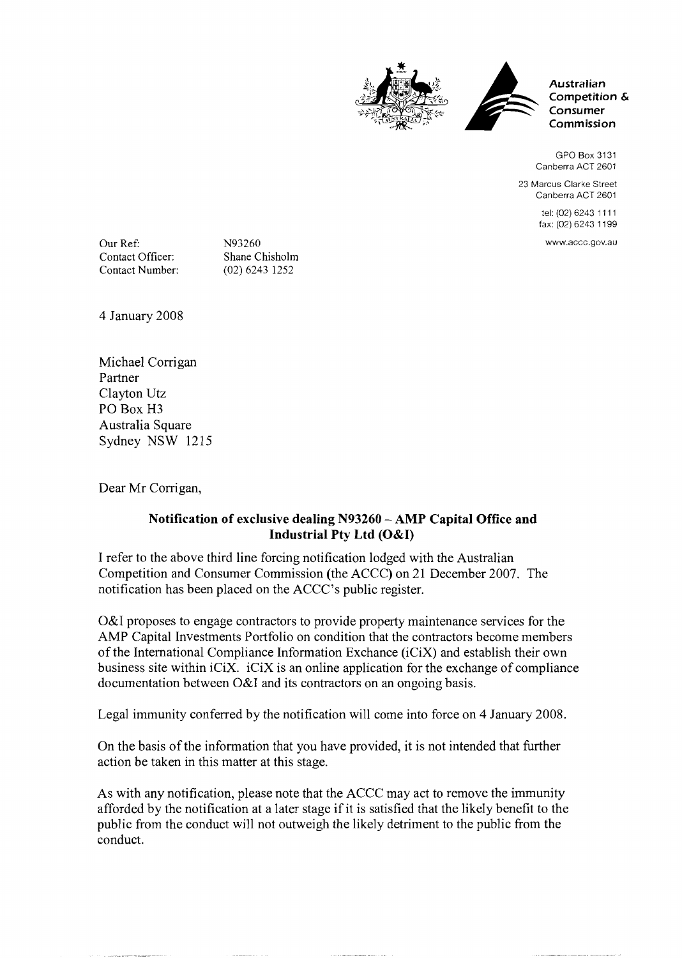



**Australian Competition** & **Consumer Comm ission** 

GPO Box 31 31 Canberra ACT 2601

23 Marcus Clarke Street Canberra ACT 2601

> tel: (02) 6243 11 11 fax: (02) 6243 11 99

www.accc.gov.au

Our Ref: N93260<br>Contact Officer: Shane C Contact Officer: Shane Chisholm<br>Contact Number: (02) 6243 1252

(02) 6243 1252

4 January 2008

Michael Corrigan Partner Clayton Utz PO Box H3 Australia Square Sydney NSW 1215

Dear Mr Corrigan,

## Notification of exclusive dealing N93260 - AMP Capital Office and Industrial **Pty** Ltd (O&I)

I refer to the above third line forcing notification lodged with the Australian Competition and Consumer Commission (the ACCC) on 21 December 2007. The notification has been placed on the ACCC's public register.

O&I proposes to engage contractors to provide property maintenance services for the AMP Capital Investments Portfolio on condition that the contractors become members of the International Compliance Information Exchance (iCiX) and establish their own business site within  $iC_iX$ .  $iC_iX$  is an online application for the exchange of compliance documentation between O&I and its contractors on an ongoing basis.

Legal immunity conferred by the notification will come into force on 4 January 2008.

On the basis of the information that you have provided, it is not intended that further action be taken in this matter at this stage.

As with any notification, please note that the ACCC may act to remove the immunity afforded by the notification at a later stage if it is satisfied that the likely benefit to the public from the conduct will not outweigh the likely detriment to the public from the conduct.